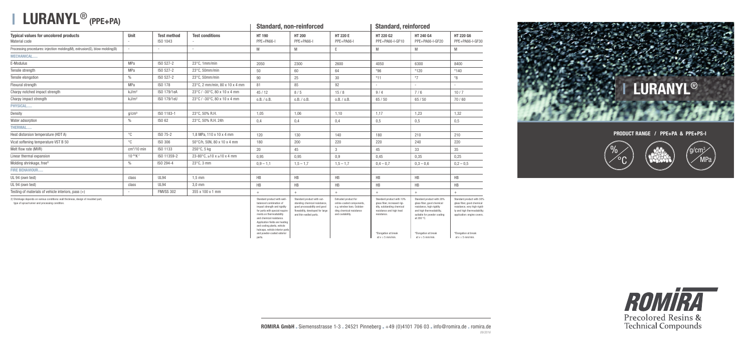|                                                                                                                                       |                   | <b>Test method</b><br>ISO 1043 |                                         |                                                                                                                                                                                                                                                                                                                               | <b>Stanuaru, non-remoteu</b>                                                                                                                              |                                                                                                                                 | <b>Stanuaru, remnuiceu</b>                                                                                                                                                       |                                                                                                                                                                                                              |                                                                                                                                                                                                       |  |
|---------------------------------------------------------------------------------------------------------------------------------------|-------------------|--------------------------------|-----------------------------------------|-------------------------------------------------------------------------------------------------------------------------------------------------------------------------------------------------------------------------------------------------------------------------------------------------------------------------------|-----------------------------------------------------------------------------------------------------------------------------------------------------------|---------------------------------------------------------------------------------------------------------------------------------|----------------------------------------------------------------------------------------------------------------------------------------------------------------------------------|--------------------------------------------------------------------------------------------------------------------------------------------------------------------------------------------------------------|-------------------------------------------------------------------------------------------------------------------------------------------------------------------------------------------------------|--|
| <b>Typical values for uncolored products</b><br>Material code                                                                         | Unit              |                                | <b>Test conditions</b>                  | <b>HT 190</b><br>PPE+PA66-I                                                                                                                                                                                                                                                                                                   | <b>HT 200</b><br>PPE+PA66-I                                                                                                                               | <b>HT 220 E</b><br>PPE+PA66-I                                                                                                   | HT 220 G2<br>PPE+PA66-I-GF10                                                                                                                                                     | HT 240 G4<br>PPE+PA66-I-GF20                                                                                                                                                                                 | HT 220 G6<br>PPE+PA66-I-GF30                                                                                                                                                                          |  |
| Processing procedures: injection molding(M), extrusion(E), blow molding(B)                                                            |                   | $\overline{\phantom{a}}$       |                                         | M                                                                                                                                                                                                                                                                                                                             | M                                                                                                                                                         | E.                                                                                                                              | M                                                                                                                                                                                | M                                                                                                                                                                                                            | M                                                                                                                                                                                                     |  |
| <b>MECHANICAL</b>                                                                                                                     |                   |                                |                                         |                                                                                                                                                                                                                                                                                                                               |                                                                                                                                                           |                                                                                                                                 |                                                                                                                                                                                  |                                                                                                                                                                                                              |                                                                                                                                                                                                       |  |
| E-Modulus                                                                                                                             | <b>MPa</b>        | ISO 527-2                      | 23°C, 1mm/min                           | 2050                                                                                                                                                                                                                                                                                                                          | 2300                                                                                                                                                      | 2600                                                                                                                            | 4050                                                                                                                                                                             | 6300                                                                                                                                                                                                         | 8400                                                                                                                                                                                                  |  |
| Tensile strength                                                                                                                      | MPa               | ISO 527-2                      | 23°C, 50mm/min                          | 50                                                                                                                                                                                                                                                                                                                            | 60                                                                                                                                                        | 64                                                                                                                              | $*96$                                                                                                                                                                            | $*120$                                                                                                                                                                                                       | $*140$                                                                                                                                                                                                |  |
| Tensile elongation                                                                                                                    | $\frac{0}{0}$     | ISO 527-2                      | 23°C, 50mm/min                          | 90                                                                                                                                                                                                                                                                                                                            | 25                                                                                                                                                        | 30                                                                                                                              |                                                                                                                                                                                  | $*7$                                                                                                                                                                                                         | $^{\ast}8$                                                                                                                                                                                            |  |
| Flexural strength                                                                                                                     | MPa               | <b>ISO 178</b>                 | 23°C, 2 mm/min, 80 x 10 x 4 mm          | 81                                                                                                                                                                                                                                                                                                                            | 85                                                                                                                                                        | 92                                                                                                                              | $\sim$                                                                                                                                                                           |                                                                                                                                                                                                              |                                                                                                                                                                                                       |  |
| Charpy notched impact strength                                                                                                        | kJ/m <sup>2</sup> | ISO 179/1eA                    | 23°C / -30°C, 80 x 10 x 4 mm            | 45/12                                                                                                                                                                                                                                                                                                                         | 8/5                                                                                                                                                       | 15/8                                                                                                                            | 9/4                                                                                                                                                                              | 7/6                                                                                                                                                                                                          | 10/7                                                                                                                                                                                                  |  |
| Charpy impact strength                                                                                                                | kJ/m <sup>2</sup> | ISO 179/1eU                    | 23°C / -30°C, 80 x 10 x 4 mm            | 0.B. / 0.B.                                                                                                                                                                                                                                                                                                                   | 0.B. / 0.B.                                                                                                                                               | 0.B. / 0.B.                                                                                                                     | 65/50                                                                                                                                                                            | 65/50                                                                                                                                                                                                        | 70/60                                                                                                                                                                                                 |  |
| PHYSICAL                                                                                                                              |                   |                                |                                         |                                                                                                                                                                                                                                                                                                                               |                                                                                                                                                           |                                                                                                                                 |                                                                                                                                                                                  |                                                                                                                                                                                                              |                                                                                                                                                                                                       |  |
| Density                                                                                                                               | g/cm <sup>3</sup> | ISO 1183-1                     | 23°C, 50% R.H.                          | 1,05                                                                                                                                                                                                                                                                                                                          | 1,06                                                                                                                                                      | 1,10                                                                                                                            | 1,17                                                                                                                                                                             | 1,23                                                                                                                                                                                                         | 1,32                                                                                                                                                                                                  |  |
| Water adsorption                                                                                                                      | $\frac{0}{0}$     | ISO 62                         | 23°C, 50% R.H. 24h                      | 0,4                                                                                                                                                                                                                                                                                                                           | 0,4                                                                                                                                                       | 0,4                                                                                                                             | 0,5                                                                                                                                                                              | 0,5                                                                                                                                                                                                          | 0,5                                                                                                                                                                                                   |  |
| <b>THERMAL</b>                                                                                                                        |                   |                                |                                         |                                                                                                                                                                                                                                                                                                                               |                                                                                                                                                           |                                                                                                                                 |                                                                                                                                                                                  |                                                                                                                                                                                                              |                                                                                                                                                                                                       |  |
| Heat distorsion temperature (HDT A)                                                                                                   | $^{\circ}$ C      | ISO 75-2                       | 1,8 MPa, 110 x 10 x 4 mm                | 120                                                                                                                                                                                                                                                                                                                           | 130                                                                                                                                                       | 140                                                                                                                             | 180                                                                                                                                                                              | 210                                                                                                                                                                                                          | 210                                                                                                                                                                                                   |  |
| Vicat softening temperature VST B 50                                                                                                  | $^{\circ}$ C      | ISO 306                        | 50°C/h, 50N, 80 x 10 x 4 mm             | 180                                                                                                                                                                                                                                                                                                                           | 200                                                                                                                                                       | 220                                                                                                                             | 220                                                                                                                                                                              | 240                                                                                                                                                                                                          | 220                                                                                                                                                                                                   |  |
| Melt flow rate (MVR)                                                                                                                  | $cm3/10$ min      | ISO 1133                       | 250°C, 5 kg                             | 20                                                                                                                                                                                                                                                                                                                            | 45<br>3 <sup>1</sup>                                                                                                                                      |                                                                                                                                 | 45                                                                                                                                                                               | 33                                                                                                                                                                                                           | 35                                                                                                                                                                                                    |  |
| Linear thermal expansion                                                                                                              | $10^{-4*}K^{-1}$  | ISO 11359-2                    | 23-80 $\textdegree$ C, ≥10 x ≥10 x 4 mm | 0,95                                                                                                                                                                                                                                                                                                                          | 0,95                                                                                                                                                      | 0,9                                                                                                                             | 0,45                                                                                                                                                                             | 0,35                                                                                                                                                                                                         | 0,25                                                                                                                                                                                                  |  |
| Molding shrinkage, free <sup>2)</sup>                                                                                                 | $\%$              | ISO 294-4                      | $23^{\circ}$ C, 3 mm                    | $0,9 - 1,1$                                                                                                                                                                                                                                                                                                                   | $1,5 - 1,7$                                                                                                                                               | $1,5 - 1,7$                                                                                                                     | $0,4 - 0,7$                                                                                                                                                                      | $0,3 - 0,6$                                                                                                                                                                                                  | $0,2 - 0,5$                                                                                                                                                                                           |  |
| <b>FIRE BEHAVIOUR</b>                                                                                                                 |                   |                                |                                         |                                                                                                                                                                                                                                                                                                                               |                                                                                                                                                           |                                                                                                                                 |                                                                                                                                                                                  |                                                                                                                                                                                                              |                                                                                                                                                                                                       |  |
| UL 94 (own test)                                                                                                                      | class             | <b>UL94</b>                    | $1,5$ mm                                | HB                                                                                                                                                                                                                                                                                                                            | HB                                                                                                                                                        | HB                                                                                                                              | HB                                                                                                                                                                               | HB                                                                                                                                                                                                           | HB                                                                                                                                                                                                    |  |
| UL 94 (own test)                                                                                                                      | class             | <b>UL94</b>                    | $3,0$ mm                                | HB                                                                                                                                                                                                                                                                                                                            | HB                                                                                                                                                        | HB                                                                                                                              | HB                                                                                                                                                                               | HB                                                                                                                                                                                                           |                                                                                                                                                                                                       |  |
| Testing of materials of vehicle interiors, pass $(+)$                                                                                 |                   | <b>FMVSS 302</b>               | 355 x 100 x 1 mm                        | $^{+}$                                                                                                                                                                                                                                                                                                                        | $+$                                                                                                                                                       | $+$                                                                                                                             | $+$                                                                                                                                                                              | $+$                                                                                                                                                                                                          | $^{+}$                                                                                                                                                                                                |  |
| 2) Shrinkage depends on various conditions: wall thickness, design of moulded part,<br>type of sprue/runner and processing condition. |                   |                                |                                         | Standard product with well-<br>balanced combination of<br>impact strength and rigidity<br>for parts with special require-<br>ments on thermostability<br>and chemical resistance.<br>Application fields are heating<br>and cooling plants, vehicle<br>hubcaps, vehicle interior parts<br>and powder-coated exterior<br>parts. | Standard product with out-<br>standing chemical resistance,<br>good processability and good<br>flowability, developed for large<br>and thin-walled parts. | Extruded product for<br>online-coated components,<br>e.g. window bars. Outstan-<br>ding chemical resistance<br>and coatability. | Standard product with 10%<br>glass fiber, increased rigi-<br>dity, outstanding chemical<br>resistance and high heat<br>resistance.<br>*Elongation at break<br>at $v = 5$ mm/min. | Standard product with 20%<br>glass fiber, good chemical<br>resistance, high rigidity<br>and high thermostability,<br>suitable for powder coating<br>at 200 °C.<br>*Elongation at break<br>at $v = 5$ mm/min. | Standard product with 30%<br>glass fiber, good chemical<br>resistance, very high rigidi-<br>ty and high thermostability;<br>application: engine covers.<br>*Elongation at break<br>at $v = 5$ mm/min. |  |

## **LURANYL**® **(PPE+PA)**

## **Standard, non-reinforced Standard, reinforced**





*09/2016*